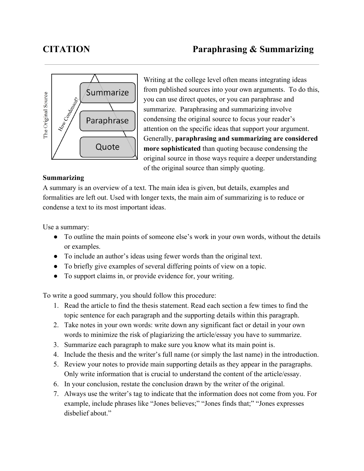

Writing at the college level often means integrating ideas from published sources into your own arguments. To do this, you can use direct quotes, or you can paraphrase and summarize. Paraphrasing and summarizing involve condensing the original source to focus your reader's attention on the specific ideas that support your argument. Generally, **paraphrasing and summarizing are considered more** sophisticated than quoting because condensing the original source in those ways require a deeper understanding of the original source than simply quoting.

## **Summarizing**

A summary is an overview of a text. The main idea is given, but details, examples and formalities are left out. Used with longer texts, the main aim of summarizing is to reduce or condense a text to its most important ideas.

Use a summary:

- To outline the main points of someone else's work in your own words, without the details or examples.
- To include an author's ideas using fewer words than the original text.
- To briefly give examples of several differing points of view on a topic.
- To support claims in, or provide evidence for, your writing.

To write a good summary, you should follow this procedure:

- 1. Read the article to find the thesis statement. Read each section a few times to find the topic sentence for each paragraph and the supporting details within this paragraph.
- 2. Take notes in your own words: write down any significant fact or detail in your own words to minimize the risk of plagiarizing the article/essay you have to summarize.
- 3. Summarize each paragraph to make sure you know what its main point is.
- 4. Include the thesis and the writer's full name (or simply the last name) in the introduction.
- 5. Review your notes to provide main supporting details as they appear in the paragraphs. Only write information that is crucial to understand the content of the article/essay.
- 6. In your conclusion, restate the conclusion drawn by the writer of the original.
- 7. Always use the writer's tag to indicate that the information does not come from you. For example, include phrases like "Jones believes;" "Jones finds that;" "Jones expresses disbelief about."